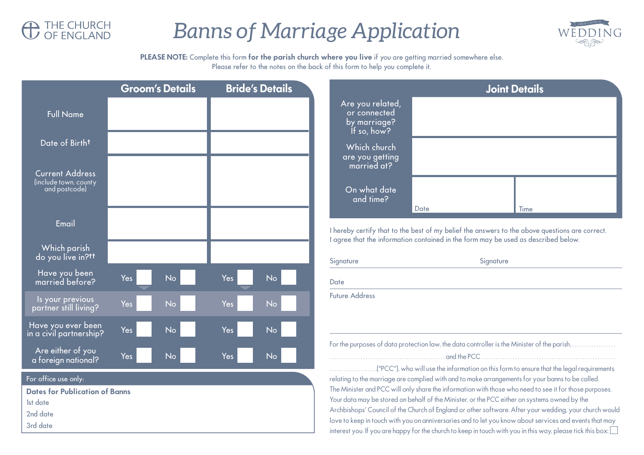

## *Banns of Marriage Application*



**PLEASE NOTE:** Complete this form **for the parish church where you live** if you are getting married somewhere else. Please refer to the notes on the back of this form to help you complete it.

|                                                                                                   | <b>Groom's Details</b>  | <b>Bride's Details</b> |                                                                 | <b>Joint Details</b>                                                                                                                                                                                                                                                                                                                                                                                                                                                                                                                                                                                                                         |      |
|---------------------------------------------------------------------------------------------------|-------------------------|------------------------|-----------------------------------------------------------------|----------------------------------------------------------------------------------------------------------------------------------------------------------------------------------------------------------------------------------------------------------------------------------------------------------------------------------------------------------------------------------------------------------------------------------------------------------------------------------------------------------------------------------------------------------------------------------------------------------------------------------------------|------|
| <b>Full Name</b>                                                                                  |                         |                        | Are you related,<br>or connected<br>by marriage?<br>If so, how? |                                                                                                                                                                                                                                                                                                                                                                                                                                                                                                                                                                                                                                              |      |
| Date of Birth <sup>t</sup>                                                                        |                         |                        | Which church<br>are you getting<br>married at?                  |                                                                                                                                                                                                                                                                                                                                                                                                                                                                                                                                                                                                                                              |      |
| <b>Current Address</b><br>(include town, county<br>and postcode)                                  |                         |                        | On what date<br>and time?                                       | Date                                                                                                                                                                                                                                                                                                                                                                                                                                                                                                                                                                                                                                         | Time |
| Email                                                                                             |                         |                        |                                                                 | I hereby certify that to the best of my belief the answers to the above questions are correct.                                                                                                                                                                                                                                                                                                                                                                                                                                                                                                                                               |      |
| Which parish<br>do you live in?tt                                                                 |                         |                        | Signature                                                       | I agree that the information contained in the form may be used as described below.<br>Signature                                                                                                                                                                                                                                                                                                                                                                                                                                                                                                                                              |      |
| Have you been<br>married before?                                                                  | Yes<br><b>No</b>        | <b>No</b><br>Yes       | Date                                                            |                                                                                                                                                                                                                                                                                                                                                                                                                                                                                                                                                                                                                                              |      |
| Is your previous<br>partner still living?                                                         | Yes<br><b>No</b>        | Yes<br><b>No</b>       | <b>Future Address</b>                                           |                                                                                                                                                                                                                                                                                                                                                                                                                                                                                                                                                                                                                                              |      |
| Have you ever been<br>in a civil partnership?                                                     | Yes<br>No               | Yes<br><b>No</b>       |                                                                 |                                                                                                                                                                                                                                                                                                                                                                                                                                                                                                                                                                                                                                              |      |
| Are either of you<br>a foreign national?                                                          | <b>Yes</b><br><b>No</b> | Yes<br>No              |                                                                 |                                                                                                                                                                                                                                                                                                                                                                                                                                                                                                                                                                                                                                              |      |
| For office use only:<br><b>Dates for Publication of Banns</b><br>1st date<br>2nd date<br>3rd date |                         |                        |                                                                 | relating to the marriage are complied with and to make arrangements for your banns to be called.<br>The Minister and PCC will only share the information with those who need to see it for those purposes.<br>Your data may be stored on behalf of the Minister, or the PCC either on systems owned by the<br>Archbishops' Council of the Church of England or other software. After your wedding, your church would<br>love to keep in touch with you on anniversaries and to let you know about services and events that may<br>interest you. If you are happy for the church to keep in touch with you in this way, please tick this box: |      |